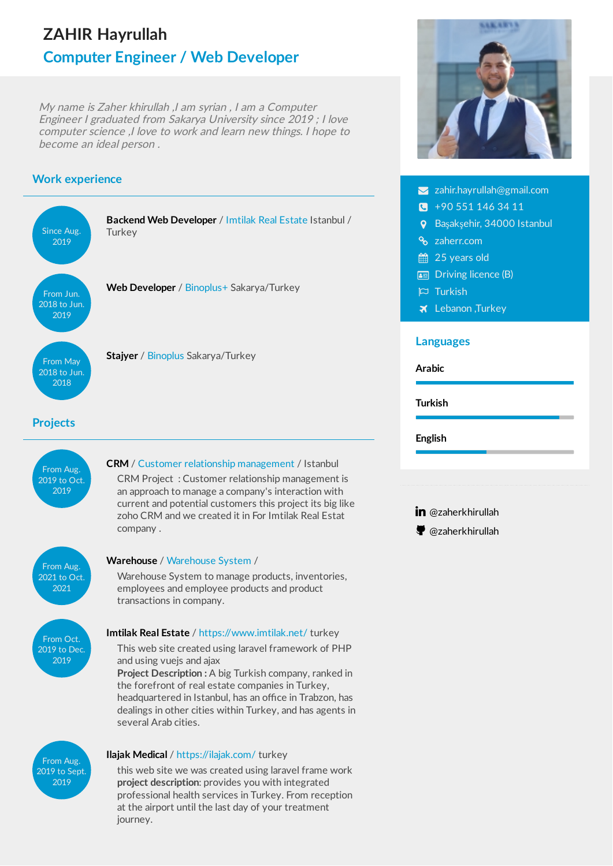# **ZAHIR Hayrullah Computer Engineer / Web Developer**

My name is Zaher khirullah ,I am syrian , I am <sup>a</sup> Computer Engineer I graduated from Sakarya University since 2019 ; I love computer science ,I love to work and learn new things. I hope to become an ideal person .

## **Work experience**

2019 to Sept. 2019



this web site we was created using laravel frame work **project description**: provides you with integrated professional health services in Turkey. From reception at the airport until the last day of your treatment journey.



- $\blacktriangleright$  [zahir.hayrullah@gmail.com](mailto:zahir.hayrullah@gmail.com)
- $\sqrt{+90}$  551 146 34 11
- Başakşehir, 34000 Istanbul
- **&** [zaherr.com](https://zaherr.com/)
- 25 years old
- Driving licence (B)
- $\overline{P}$  Turkish
- **X** Lebanon, Turkey

#### **Languages**



in [@zaherkhirullah](https://www.linkedin.com/in/zaherkhirullah)

[@zaherkhirullah](https://github.com/zaherkhirullah)